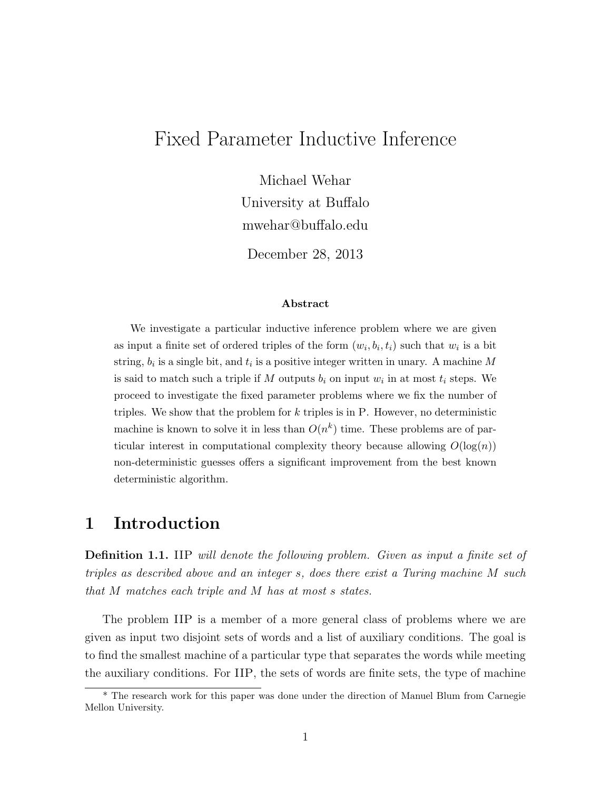# Fixed Parameter Inductive Inference

Michael Wehar University at Buffalo mwehar@buffalo.edu

December 28, 2013

#### Abstract

We investigate a particular inductive inference problem where we are given as input a finite set of ordered triples of the form  $(w_i, b_i, t_i)$  such that  $w_i$  is a bit string,  $b_i$  is a single bit, and  $t_i$  is a positive integer written in unary. A machine M is said to match such a triple if M outputs  $b_i$  on input  $w_i$  in at most  $t_i$  steps. We proceed to investigate the fixed parameter problems where we fix the number of triples. We show that the problem for  $k$  triples is in P. However, no deterministic machine is known to solve it in less than  $O(n^k)$  time. These problems are of particular interest in computational complexity theory because allowing  $O(\log(n))$ non-deterministic guesses offers a significant improvement from the best known deterministic algorithm.

### 1 Introduction

**Definition 1.1.** IIP will denote the following problem. Given as input a finite set of triples as described above and an integer s, does there exist a Turing machine M such that M matches each triple and M has at most s states.

The problem IIP is a member of a more general class of problems where we are given as input two disjoint sets of words and a list of auxiliary conditions. The goal is to find the smallest machine of a particular type that separates the words while meeting the auxiliary conditions. For IIP, the sets of words are finite sets, the type of machine

<sup>\*</sup> The research work for this paper was done under the direction of Manuel Blum from Carnegie Mellon University.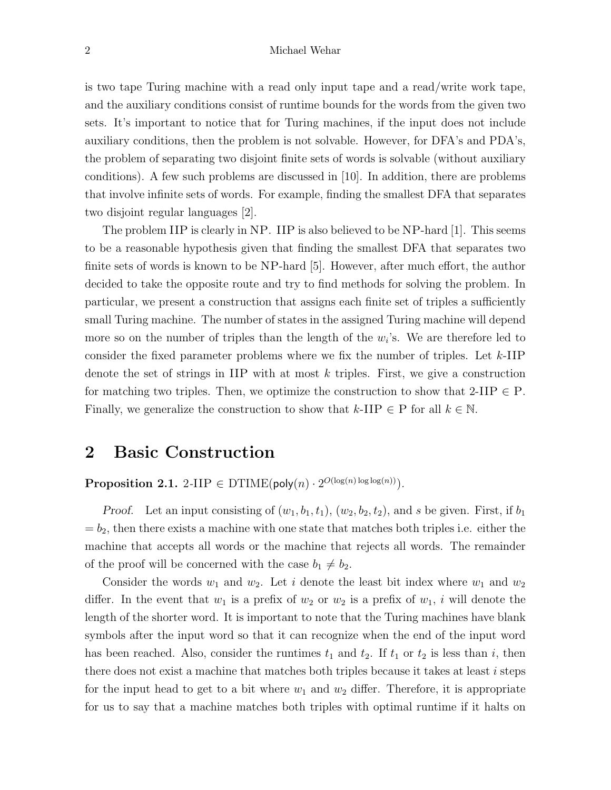is two tape Turing machine with a read only input tape and a read/write work tape, and the auxiliary conditions consist of runtime bounds for the words from the given two sets. It's important to notice that for Turing machines, if the input does not include auxiliary conditions, then the problem is not solvable. However, for DFA's and PDA's, the problem of separating two disjoint finite sets of words is solvable (without auxiliary conditions). A few such problems are discussed in [10]. In addition, there are problems that involve infinite sets of words. For example, finding the smallest DFA that separates two disjoint regular languages [2].

The problem IIP is clearly in NP. IIP is also believed to be NP-hard [1]. This seems to be a reasonable hypothesis given that finding the smallest DFA that separates two finite sets of words is known to be NP-hard [5]. However, after much effort, the author decided to take the opposite route and try to find methods for solving the problem. In particular, we present a construction that assigns each finite set of triples a sufficiently small Turing machine. The number of states in the assigned Turing machine will depend more so on the number of triples than the length of the  $w_i$ 's. We are therefore led to consider the fixed parameter problems where we fix the number of triples. Let  $k$ -IIP denote the set of strings in IIP with at most  $k$  triples. First, we give a construction for matching two triples. Then, we optimize the construction to show that  $2\text{-}\text{HP} \in \text{P}$ . Finally, we generalize the construction to show that  $k$ -IIP  $\in$  P for all  $k \in \mathbb{N}$ .

### 2 Basic Construction

**Proposition 2.1.** 2-IIP  $\in$  DTIME(poly $(n) \cdot 2^{O(\log(n) \log \log(n))})$ .

*Proof.* Let an input consisting of  $(w_1, b_1, t_1), (w_2, b_2, t_2)$ , and s be given. First, if  $b_1$  $= b<sub>2</sub>$ , then there exists a machine with one state that matches both triples i.e. either the machine that accepts all words or the machine that rejects all words. The remainder of the proof will be concerned with the case  $b_1 \neq b_2$ .

Consider the words  $w_1$  and  $w_2$ . Let i denote the least bit index where  $w_1$  and  $w_2$ differ. In the event that  $w_1$  is a prefix of  $w_2$  or  $w_2$  is a prefix of  $w_1$ , i will denote the length of the shorter word. It is important to note that the Turing machines have blank symbols after the input word so that it can recognize when the end of the input word has been reached. Also, consider the runtimes  $t_1$  and  $t_2$ . If  $t_1$  or  $t_2$  is less than i, then there does not exist a machine that matches both triples because it takes at least i steps for the input head to get to a bit where  $w_1$  and  $w_2$  differ. Therefore, it is appropriate for us to say that a machine matches both triples with optimal runtime if it halts on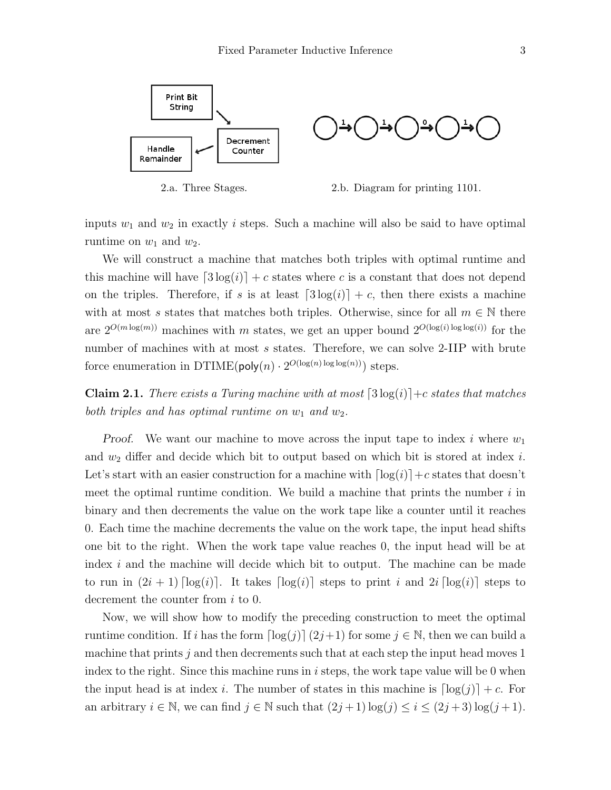

2.a. Three Stages. 2.b. Diagram for printing 1101.

inputs  $w_1$  and  $w_2$  in exactly i steps. Such a machine will also be said to have optimal runtime on  $w_1$  and  $w_2$ .

We will construct a machine that matches both triples with optimal runtime and this machine will have  $\lceil 3 \log(i) \rceil + c$  states where c is a constant that does not depend on the triples. Therefore, if s is at least  $\lceil 3 \log(i) \rceil + c$ , then there exists a machine with at most s states that matches both triples. Otherwise, since for all  $m \in \mathbb{N}$  there are  $2^{O(m \log(m))}$  machines with m states, we get an upper bound  $2^{O(\log(i) \log \log(i))}$  for the number of machines with at most s states. Therefore, we can solve 2-IIP with brute force enumeration in DTIME( $\mathsf{poly}(n) \cdot 2^{O(\log(n) \log \log(n))}$ ) steps.

**Claim 2.1.** There exists a Turing machine with at most  $\lceil 3 \log(i) \rceil + c$  states that matches both triples and has optimal runtime on  $w_1$  and  $w_2$ .

Proof. We want our machine to move across the input tape to index i where  $w_1$ and  $w_2$  differ and decide which bit to output based on which bit is stored at index i. Let's start with an easier construction for a machine with  $\lceil \log(i) \rceil + c$  states that doesn't meet the optimal runtime condition. We build a machine that prints the number  $i$  in binary and then decrements the value on the work tape like a counter until it reaches 0. Each time the machine decrements the value on the work tape, the input head shifts one bit to the right. When the work tape value reaches 0, the input head will be at index i and the machine will decide which bit to output. The machine can be made to run in  $(2i + 1)$   $\lceil \log(i) \rceil$ . It takes  $\lceil \log(i) \rceil$  steps to print i and  $2i$   $\lceil \log(i) \rceil$  steps to decrement the counter from i to 0.

Now, we will show how to modify the preceding construction to meet the optimal runtime condition. If i has the form  $\lceil \log(j) \rceil (2j+1)$  for some  $j \in \mathbb{N}$ , then we can build a machine that prints  $j$  and then decrements such that at each step the input head moves 1 index to the right. Since this machine runs in  $i$  steps, the work tape value will be 0 when the input head is at index i. The number of states in this machine is  $\lceil \log(j) \rceil + c$ . For an arbitrary  $i \in \mathbb{N}$ , we can find  $j \in \mathbb{N}$  such that  $(2j+1) \log(j) \leq i \leq (2j+3) \log(j+1)$ .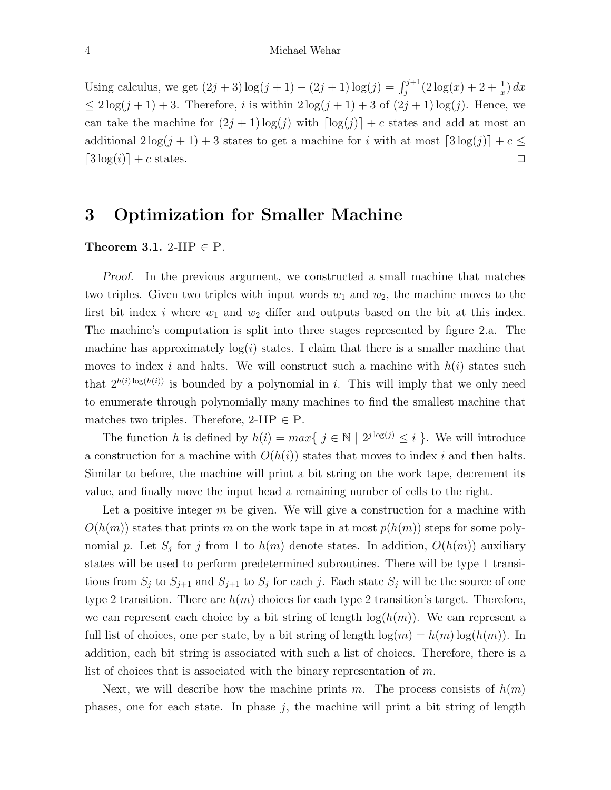#### 4 Michael Wehar

Using calculus, we get  $(2j + 3) \log(j + 1) - (2j + 1) \log(j) = \int_j^{j+1} (2 \log(x) + 2 + \frac{1}{x}) dx$  $\leq 2\log(j+1)+3$ . Therefore, i is within  $2\log(j+1)+3$  of  $(2j+1)\log(j)$ . Hence, we can take the machine for  $(2j + 1) \log(j)$  with  $\lceil \log(j) \rceil + c$  states and add at most an additional  $2\log(j + 1) + 3$  states to get a machine for i with at most  $\lceil 3\log(j) \rceil + c \leq$  $[3 \log(i)] + c$  states.

# 3 Optimization for Smaller Machine

### Theorem 3.1. 2-IIP  $\in$  P.

Proof. In the previous argument, we constructed a small machine that matches two triples. Given two triples with input words  $w_1$  and  $w_2$ , the machine moves to the first bit index i where  $w_1$  and  $w_2$  differ and outputs based on the bit at this index. The machine's computation is split into three stages represented by figure 2.a. The machine has approximately  $log(i)$  states. I claim that there is a smaller machine that moves to index i and halts. We will construct such a machine with  $h(i)$  states such that  $2^{h(i) \log(h(i))}$  is bounded by a polynomial in i. This will imply that we only need to enumerate through polynomially many machines to find the smallest machine that matches two triples. Therefore,  $2$ -IIP  $\in$  P.

The function h is defined by  $h(i) = max\{ j \in \mathbb{N} \mid 2^{j \log(j)} \leq i \}$ . We will introduce a construction for a machine with  $O(h(i))$  states that moves to index i and then halts. Similar to before, the machine will print a bit string on the work tape, decrement its value, and finally move the input head a remaining number of cells to the right.

Let a positive integer  $m$  be given. We will give a construction for a machine with  $O(h(m))$  states that prints m on the work tape in at most  $p(h(m))$  steps for some polynomial p. Let  $S_j$  for j from 1 to  $h(m)$  denote states. In addition,  $O(h(m))$  auxiliary states will be used to perform predetermined subroutines. There will be type 1 transitions from  $S_j$  to  $S_{j+1}$  and  $S_{j+1}$  to  $S_j$  for each j. Each state  $S_j$  will be the source of one type 2 transition. There are  $h(m)$  choices for each type 2 transition's target. Therefore, we can represent each choice by a bit string of length  $log(h(m))$ . We can represent a full list of choices, one per state, by a bit string of length  $\log(m) = h(m) \log(h(m))$ . In addition, each bit string is associated with such a list of choices. Therefore, there is a list of choices that is associated with the binary representation of  $m$ .

Next, we will describe how the machine prints m. The process consists of  $h(m)$ phases, one for each state. In phase  $j$ , the machine will print a bit string of length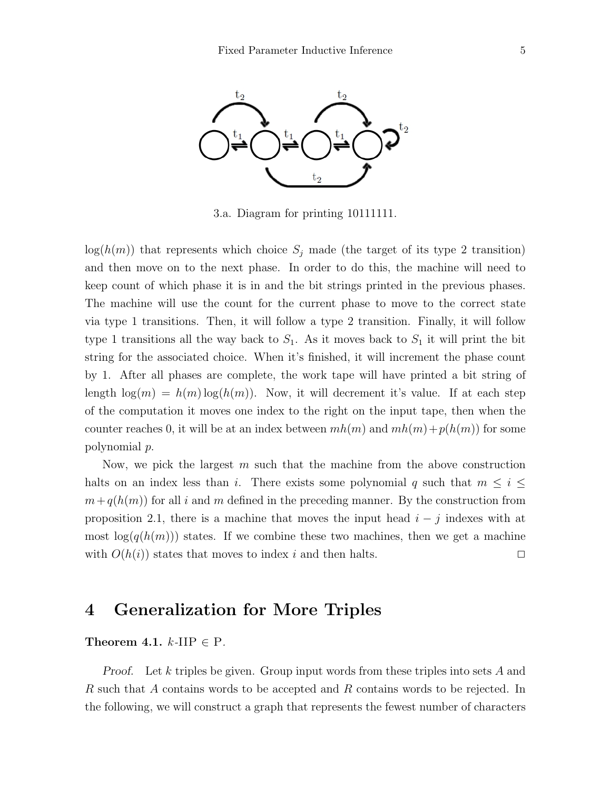

3.a. Diagram for printing 10111111.

 $log(h(m))$  that represents which choice  $S_j$  made (the target of its type 2 transition) and then move on to the next phase. In order to do this, the machine will need to keep count of which phase it is in and the bit strings printed in the previous phases. The machine will use the count for the current phase to move to the correct state via type 1 transitions. Then, it will follow a type 2 transition. Finally, it will follow type 1 transitions all the way back to  $S_1$ . As it moves back to  $S_1$  it will print the bit string for the associated choice. When it's finished, it will increment the phase count by 1. After all phases are complete, the work tape will have printed a bit string of length  $\log(m) = h(m) \log(h(m))$ . Now, it will decrement it's value. If at each step of the computation it moves one index to the right on the input tape, then when the counter reaches 0, it will be at an index between  $mh(m)$  and  $mh(m)+p(h(m))$  for some polynomial p.

Now, we pick the largest m such that the machine from the above construction halts on an index less than i. There exists some polynomial q such that  $m \leq i \leq$  $m+q(h(m))$  for all i and m defined in the preceding manner. By the construction from proposition 2.1, there is a machine that moves the input head  $i - j$  indexes with at most  $\log(q(h(m)))$  states. If we combine these two machines, then we get a machine with  $O(h(i))$  states that moves to index i and then halts.  $\Box$ 

### 4 Generalization for More Triples

#### Theorem 4.1.  $k$ -IIP  $\in$  P.

Proof. Let k triples be given. Group input words from these triples into sets A and R such that A contains words to be accepted and R contains words to be rejected. In the following, we will construct a graph that represents the fewest number of characters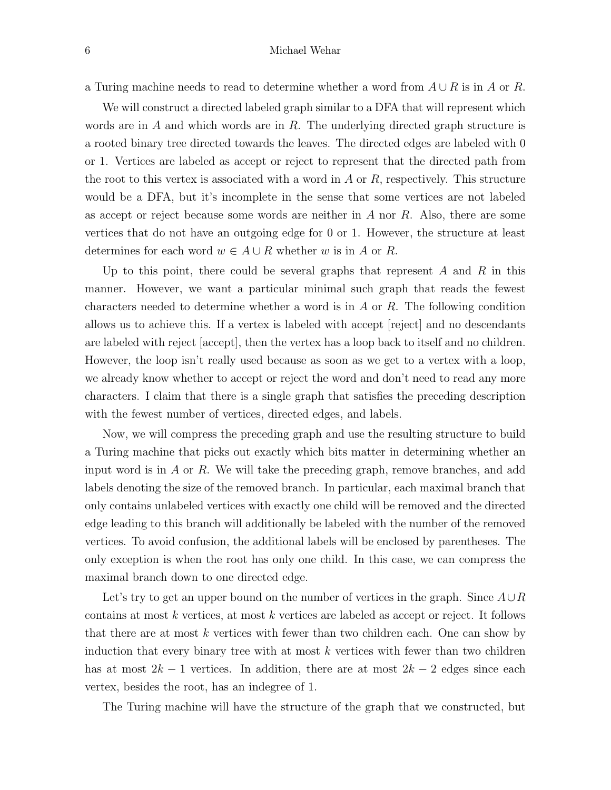a Turing machine needs to read to determine whether a word from  $A \cup R$  is in A or R.

We will construct a directed labeled graph similar to a DFA that will represent which words are in  $A$  and which words are in  $R$ . The underlying directed graph structure is a rooted binary tree directed towards the leaves. The directed edges are labeled with 0 or 1. Vertices are labeled as accept or reject to represent that the directed path from the root to this vertex is associated with a word in  $A$  or  $R$ , respectively. This structure would be a DFA, but it's incomplete in the sense that some vertices are not labeled as accept or reject because some words are neither in  $A$  nor  $R$ . Also, there are some vertices that do not have an outgoing edge for 0 or 1. However, the structure at least determines for each word  $w \in A \cup R$  whether w is in A or R.

Up to this point, there could be several graphs that represent  $A$  and  $R$  in this manner. However, we want a particular minimal such graph that reads the fewest characters needed to determine whether a word is in  $A$  or  $R$ . The following condition allows us to achieve this. If a vertex is labeled with accept [reject] and no descendants are labeled with reject [accept], then the vertex has a loop back to itself and no children. However, the loop isn't really used because as soon as we get to a vertex with a loop, we already know whether to accept or reject the word and don't need to read any more characters. I claim that there is a single graph that satisfies the preceding description with the fewest number of vertices, directed edges, and labels.

Now, we will compress the preceding graph and use the resulting structure to build a Turing machine that picks out exactly which bits matter in determining whether an input word is in  $\tilde{A}$  or  $\tilde{R}$ . We will take the preceding graph, remove branches, and add labels denoting the size of the removed branch. In particular, each maximal branch that only contains unlabeled vertices with exactly one child will be removed and the directed edge leading to this branch will additionally be labeled with the number of the removed vertices. To avoid confusion, the additional labels will be enclosed by parentheses. The only exception is when the root has only one child. In this case, we can compress the maximal branch down to one directed edge.

Let's try to get an upper bound on the number of vertices in the graph. Since  $A\cup R$ contains at most k vertices, at most k vertices are labeled as accept or reject. It follows that there are at most  $k$  vertices with fewer than two children each. One can show by induction that every binary tree with at most  $k$  vertices with fewer than two children has at most  $2k - 1$  vertices. In addition, there are at most  $2k - 2$  edges since each vertex, besides the root, has an indegree of 1.

The Turing machine will have the structure of the graph that we constructed, but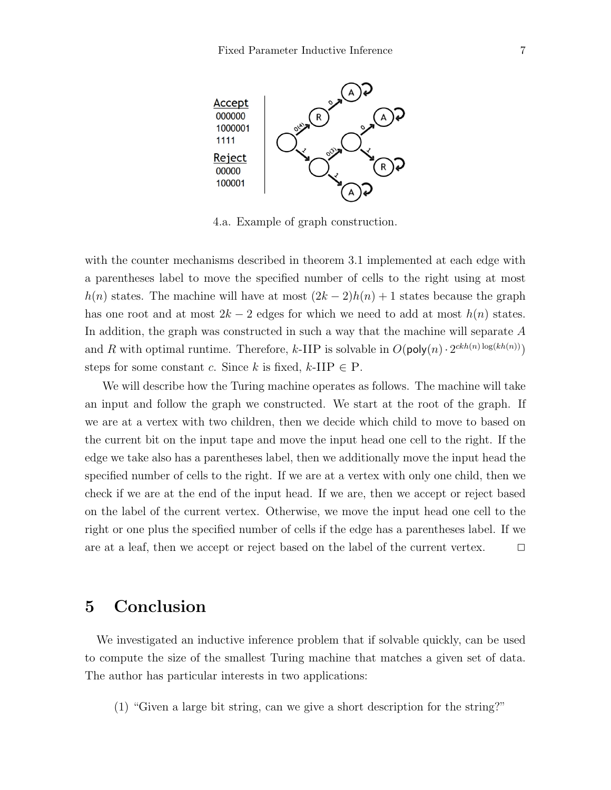

4.a. Example of graph construction.

with the counter mechanisms described in theorem 3.1 implemented at each edge with a parentheses label to move the specified number of cells to the right using at most  $h(n)$  states. The machine will have at most  $(2k-2)h(n)+1$  states because the graph has one root and at most  $2k - 2$  edges for which we need to add at most  $h(n)$  states. In addition, the graph was constructed in such a way that the machine will separate A and R with optimal runtime. Therefore, k-IIP is solvable in  $O(\text{poly}(n) \cdot 2^{ckh(n) \log(kh(n))})$ steps for some constant c. Since k is fixed, k-IIP  $\in$  P.

We will describe how the Turing machine operates as follows. The machine will take an input and follow the graph we constructed. We start at the root of the graph. If we are at a vertex with two children, then we decide which child to move to based on the current bit on the input tape and move the input head one cell to the right. If the edge we take also has a parentheses label, then we additionally move the input head the specified number of cells to the right. If we are at a vertex with only one child, then we check if we are at the end of the input head. If we are, then we accept or reject based on the label of the current vertex. Otherwise, we move the input head one cell to the right or one plus the specified number of cells if the edge has a parentheses label. If we are at a leaf, then we accept or reject based on the label of the current vertex.  $\Box$ 

### 5 Conclusion

We investigated an inductive inference problem that if solvable quickly, can be used to compute the size of the smallest Turing machine that matches a given set of data. The author has particular interests in two applications:

(1) "Given a large bit string, can we give a short description for the string?"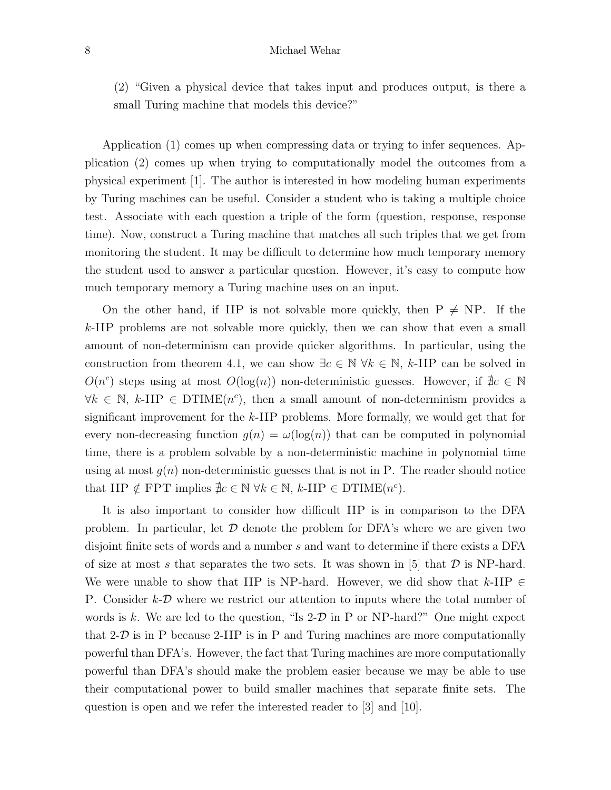#### 8 Michael Wehar

(2) "Given a physical device that takes input and produces output, is there a small Turing machine that models this device?"

Application (1) comes up when compressing data or trying to infer sequences. Application (2) comes up when trying to computationally model the outcomes from a physical experiment [1]. The author is interested in how modeling human experiments by Turing machines can be useful. Consider a student who is taking a multiple choice test. Associate with each question a triple of the form (question, response, response time). Now, construct a Turing machine that matches all such triples that we get from monitoring the student. It may be difficult to determine how much temporary memory the student used to answer a particular question. However, it's easy to compute how much temporary memory a Turing machine uses on an input.

On the other hand, if IIP is not solvable more quickly, then  $P \neq NP$ . If the k-IIP problems are not solvable more quickly, then we can show that even a small amount of non-determinism can provide quicker algorithms. In particular, using the construction from theorem 4.1, we can show  $\exists c \in \mathbb{N} \ \forall k \in \mathbb{N}, k\text{-HP}$  can be solved in  $O(n^c)$  steps using at most  $O(log(n))$  non-deterministic guesses. However, if  $\nexists c \in \mathbb{N}$  $\forall k \in \mathbb{N}, k$ -IIP  $\in$  DTIME $(n^c)$ , then a small amount of non-determinism provides a significant improvement for the  $k$ -IIP problems. More formally, we would get that for every non-decreasing function  $q(n) = \omega(\log(n))$  that can be computed in polynomial time, there is a problem solvable by a non-deterministic machine in polynomial time using at most  $g(n)$  non-deterministic guesses that is not in P. The reader should notice that IIP  $\notin$  FPT implies  $\nexists c \in \mathbb{N} \ \forall k \in \mathbb{N}, \ k\text{-HP} \in \text{DTIME}(n^c)$ .

It is also important to consider how difficult IIP is in comparison to the DFA problem. In particular, let  $\mathcal D$  denote the problem for DFA's where we are given two disjoint finite sets of words and a number s and want to determine if there exists a DFA of size at most s that separates the two sets. It was shown in [5] that  $D$  is NP-hard. We were unable to show that IIP is NP-hard. However, we did show that k-IIP  $\in$ P. Consider  $k-\mathcal{D}$  where we restrict our attention to inputs where the total number of words is k. We are led to the question, "Is  $2-D$  in P or NP-hard?" One might expect that  $2-D$  is in P because  $2-IIP$  is in P and Turing machines are more computationally powerful than DFA's. However, the fact that Turing machines are more computationally powerful than DFA's should make the problem easier because we may be able to use their computational power to build smaller machines that separate finite sets. The question is open and we refer the interested reader to [3] and [10].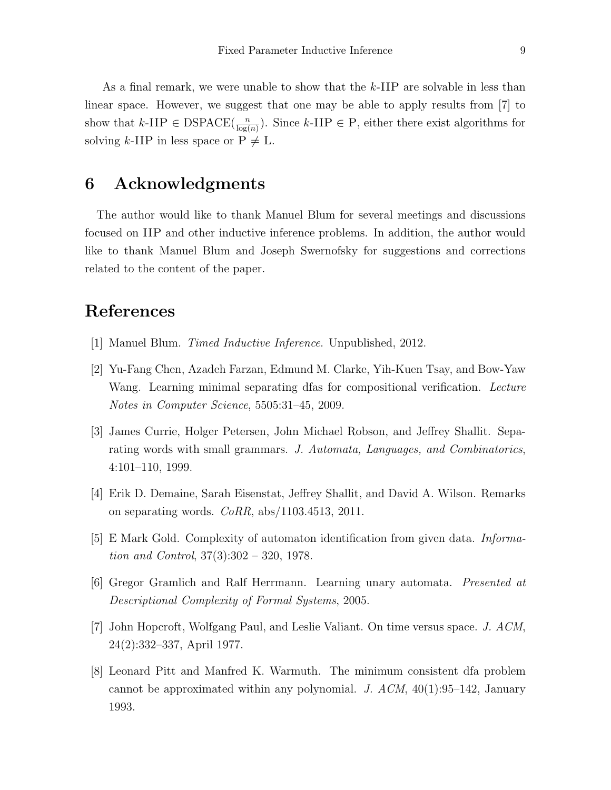As a final remark, we were unable to show that the  $k$ -IIP are solvable in less than linear space. However, we suggest that one may be able to apply results from [7] to show that  $k$ -IIP  $\in$  DSPACE( $\frac{n}{\log(n)}$ ). Since  $k$ -IIP  $\in$  P, either there exist algorithms for solving k-IIP in less space or  $P \neq L$ .

# 6 Acknowledgments

The author would like to thank Manuel Blum for several meetings and discussions focused on IIP and other inductive inference problems. In addition, the author would like to thank Manuel Blum and Joseph Swernofsky for suggestions and corrections related to the content of the paper.

# References

- [1] Manuel Blum. Timed Inductive Inference. Unpublished, 2012.
- [2] Yu-Fang Chen, Azadeh Farzan, Edmund M. Clarke, Yih-Kuen Tsay, and Bow-Yaw Wang. Learning minimal separating dfas for compositional verification. Lecture Notes in Computer Science, 5505:31–45, 2009.
- [3] James Currie, Holger Petersen, John Michael Robson, and Jeffrey Shallit. Separating words with small grammars. J. Automata, Languages, and Combinatorics, 4:101–110, 1999.
- [4] Erik D. Demaine, Sarah Eisenstat, Jeffrey Shallit, and David A. Wilson. Remarks on separating words. CoRR, abs/1103.4513, 2011.
- [5] E Mark Gold. Complexity of automaton identification from given data. Information and Control, 37(3):302 – 320, 1978.
- [6] Gregor Gramlich and Ralf Herrmann. Learning unary automata. Presented at Descriptional Complexity of Formal Systems, 2005.
- [7] John Hopcroft, Wolfgang Paul, and Leslie Valiant. On time versus space. J. ACM, 24(2):332–337, April 1977.
- [8] Leonard Pitt and Manfred K. Warmuth. The minimum consistent dfa problem cannot be approximated within any polynomial. J.  $ACM$ , 40(1):95–142, January 1993.